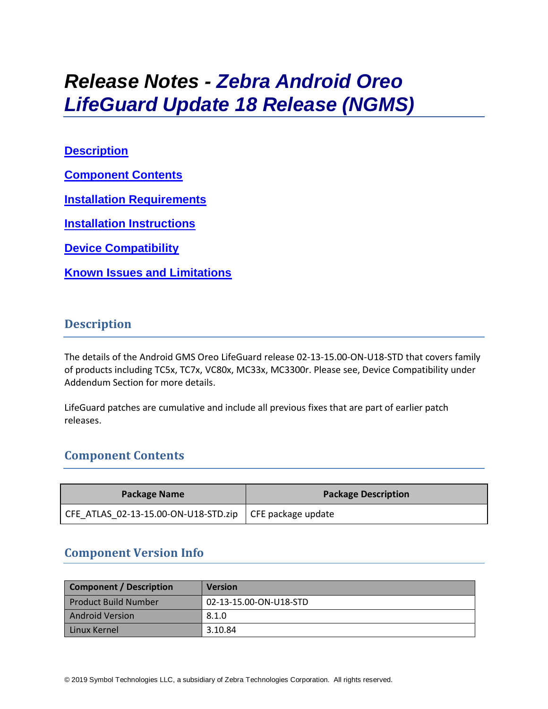# *Release Notes - Zebra Android Oreo LifeGuard Update 18 Release (NGMS)*

## **[Description](#page-0-0)**

**[Component Contents](#page-0-1)**

**[Installation Requirements](#page-7-0)**

**[Installation Instructions](#page-8-0)**

**[Device Compatibility](#page-9-0)**

**Known [Issues and Limitations](#page-9-1)**

# <span id="page-0-0"></span>**Description**

The details of the Android GMS Oreo LifeGuard release 02-13-15.00-ON-U18-STD that covers family of products including TC5x, TC7x, VC80x, MC33x, MC3300r. Please see, Device Compatibility under Addendum Section for more details.

LifeGuard patches are cumulative and include all previous fixes that are part of earlier patch releases.

# <span id="page-0-1"></span>**Component Contents**

| <b>Package Name</b>                                       | <b>Package Description</b> |
|-----------------------------------------------------------|----------------------------|
| CFE_ATLAS_02-13-15.00-ON-U18-STD.zip   CFE package update |                            |

# **Component Version Info**

| <b>Component / Description</b> | <b>Version</b>         |
|--------------------------------|------------------------|
| <b>Product Build Number</b>    | 02-13-15.00-ON-U18-STD |
| <b>Android Version</b>         | 8.1.0                  |
| Linux Kernel                   | 3.10.84                |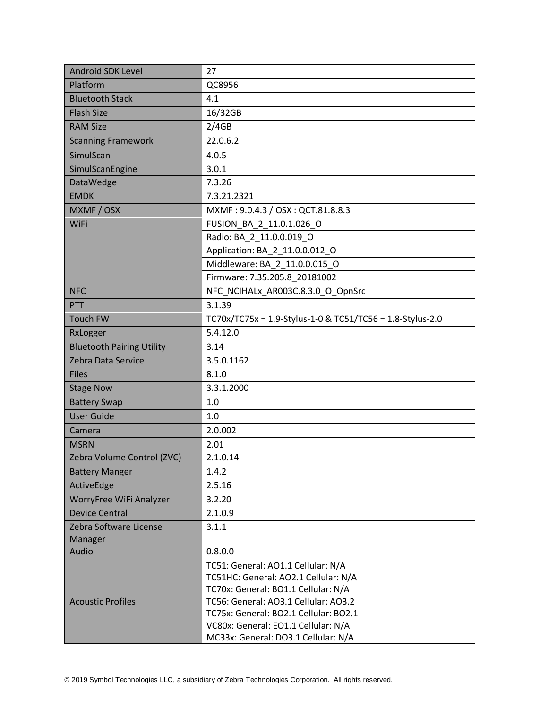| <b>Android SDK Level</b>         | 27                                                                                                                                                                                                                                        |
|----------------------------------|-------------------------------------------------------------------------------------------------------------------------------------------------------------------------------------------------------------------------------------------|
| Platform                         | QC8956                                                                                                                                                                                                                                    |
| <b>Bluetooth Stack</b>           | 4.1                                                                                                                                                                                                                                       |
| <b>Flash Size</b>                | 16/32GB                                                                                                                                                                                                                                   |
| <b>RAM Size</b>                  | 2/4GB                                                                                                                                                                                                                                     |
| <b>Scanning Framework</b>        | 22.0.6.2                                                                                                                                                                                                                                  |
| SimulScan                        | 4.0.5                                                                                                                                                                                                                                     |
| SimulScanEngine                  | 3.0.1                                                                                                                                                                                                                                     |
| DataWedge                        | 7.3.26                                                                                                                                                                                                                                    |
| <b>EMDK</b>                      | 7.3.21.2321                                                                                                                                                                                                                               |
| MXMF / OSX                       | MXMF: 9.0.4.3 / OSX: QCT.81.8.8.3                                                                                                                                                                                                         |
| WiFi                             | FUSION_BA_2_11.0.1.026_O                                                                                                                                                                                                                  |
|                                  | Radio: BA 2 11.0.0.019 O                                                                                                                                                                                                                  |
|                                  | Application: BA_2_11.0.0.012_O                                                                                                                                                                                                            |
|                                  | Middleware: BA 2 11.0.0.015 O                                                                                                                                                                                                             |
|                                  | Firmware: 7.35.205.8_20181002                                                                                                                                                                                                             |
| <b>NFC</b>                       | NFC NCIHALx AR003C.8.3.0 O OpnSrc                                                                                                                                                                                                         |
| PTT                              | 3.1.39                                                                                                                                                                                                                                    |
| <b>Touch FW</b>                  | TC70x/TC75x = 1.9-Stylus-1-0 & TC51/TC56 = 1.8-Stylus-2.0                                                                                                                                                                                 |
| RxLogger                         | 5.4.12.0                                                                                                                                                                                                                                  |
| <b>Bluetooth Pairing Utility</b> | 3.14                                                                                                                                                                                                                                      |
| Zebra Data Service               | 3.5.0.1162                                                                                                                                                                                                                                |
| <b>Files</b>                     | 8.1.0                                                                                                                                                                                                                                     |
| <b>Stage Now</b>                 | 3.3.1.2000                                                                                                                                                                                                                                |
| <b>Battery Swap</b>              | 1.0                                                                                                                                                                                                                                       |
| <b>User Guide</b>                | 1.0                                                                                                                                                                                                                                       |
| Camera                           | 2.0.002                                                                                                                                                                                                                                   |
| <b>MSRN</b>                      | 2.01                                                                                                                                                                                                                                      |
| Zebra Volume Control (ZVC)       | 2.1.0.14                                                                                                                                                                                                                                  |
| <b>Battery Manger</b>            | 1.4.2                                                                                                                                                                                                                                     |
| ActiveEdge                       | 2.5.16                                                                                                                                                                                                                                    |
| WorryFree WiFi Analyzer          | 3.2.20                                                                                                                                                                                                                                    |
| <b>Device Central</b>            | 2.1.0.9                                                                                                                                                                                                                                   |
| Zebra Software License           | 3.1.1                                                                                                                                                                                                                                     |
| Manager                          |                                                                                                                                                                                                                                           |
| Audio                            | 0.8.0.0                                                                                                                                                                                                                                   |
| <b>Acoustic Profiles</b>         | TC51: General: AO1.1 Cellular: N/A<br>TC51HC: General: AO2.1 Cellular: N/A<br>TC70x: General: BO1.1 Cellular: N/A<br>TC56: General: AO3.1 Cellular: AO3.2<br>TC75x: General: BO2.1 Cellular: BO2.1<br>VC80x: General: EO1.1 Cellular: N/A |
|                                  | MC33x: General: DO3.1 Cellular: N/A                                                                                                                                                                                                       |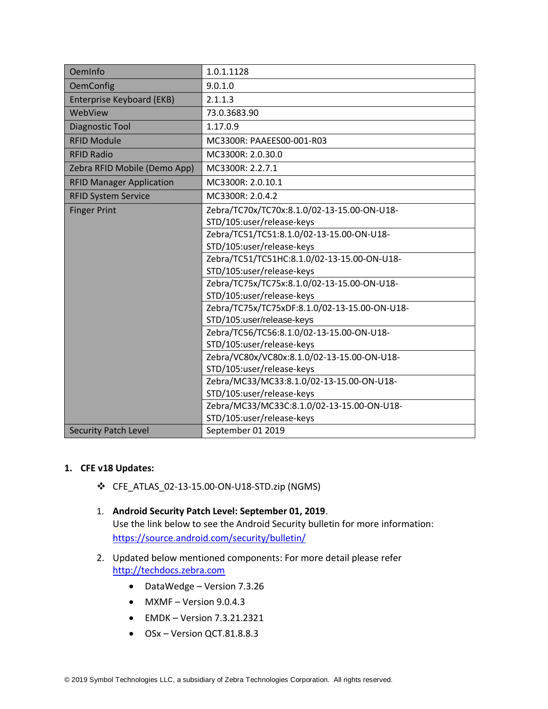| OemInfo                         | 1.0.1.1128                                    |  |
|---------------------------------|-----------------------------------------------|--|
| <b>OemConfig</b>                | 9.0.1.0                                       |  |
| Enterprise Keyboard (EKB)       | 2.1.1.3                                       |  |
| WebView                         | 73.0.3683.90                                  |  |
| Diagnostic Tool                 | 1.17.0.9                                      |  |
| <b>RFID Module</b>              | MC3300R: PAAEES00-001-R03                     |  |
| <b>RFID Radio</b>               | MC3300R: 2.0.30.0                             |  |
| Zebra RFID Mobile (Demo App)    | MC3300R: 2.2.7.1                              |  |
| <b>RFID Manager Application</b> | MC3300R: 2.0.10.1                             |  |
| <b>RFID System Service</b>      | MC3300R: 2.0.4.2                              |  |
| <b>Finger Print</b>             | Zebra/TC70x/TC70x:8.1.0/02-13-15.00-ON-U18-   |  |
|                                 | STD/105:user/release-keys                     |  |
|                                 | Zebra/TC51/TC51:8.1.0/02-13-15.00-ON-U18-     |  |
|                                 | STD/105:user/release-keys                     |  |
|                                 | Zebra/TC51/TC51HC:8.1.0/02-13-15.00-ON-U18-   |  |
|                                 | STD/105:user/release-keys                     |  |
|                                 | Zebra/TC75x/TC75x:8.1.0/02-13-15.00-ON-U18-   |  |
|                                 | STD/105:user/release-keys                     |  |
|                                 | Zebra/TC75x/TC75xDF:8.1.0/02-13-15.00-ON-U18- |  |
|                                 | STD/105:user/release-keys                     |  |
|                                 | Zebra/TC56/TC56:8.1.0/02-13-15.00-ON-U18-     |  |
|                                 | STD/105:user/release-keys                     |  |
|                                 | Zebra/VC80x/VC80x:8.1.0/02-13-15.00-ON-U18-   |  |
|                                 | STD/105:user/release-keys                     |  |
|                                 | Zebra/MC33/MC33:8.1.0/02-13-15.00-ON-U18-     |  |
|                                 | STD/105:user/release-keys                     |  |
|                                 | Zebra/MC33/MC33C:8.1.0/02-13-15.00-ON-U18-    |  |
|                                 | STD/105:user/release-keys                     |  |
| <b>Security Patch Level</b>     | September 01 2019                             |  |

#### **1. CFE v18 Updates:**

- ❖ CFE\_ATLAS\_02-13-15.00-ON-U18-STD.zip (NGMS)
- 1. **Android Security Patch Level: September 01, 2019**. Use the link below to see the Android Security bulletin for more information: <https://source.android.com/security/bulletin/>
- 2. Updated below mentioned components: For more detail please refer [http://techdocs.zebra.com](http://techdocs.zebra.com/)
	- DataWedge Version 7.3.26
	- $\bullet$  MXMF Version 9.0.4.3
	- EMDK Version 7.3.21.2321
	- OSx Version QCT.81.8.8.3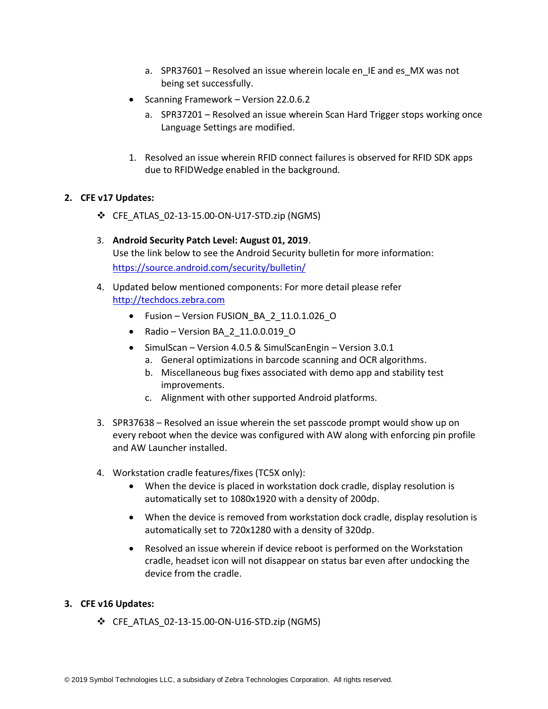- a. SPR37601 Resolved an issue wherein locale en IE and es MX was not being set successfully.
- Scanning Framework Version 22.0.6.2
	- a. SPR37201 Resolved an issue wherein Scan Hard Trigger stops working once Language Settings are modified.
- 1. Resolved an issue wherein RFID connect failures is observed for RFID SDK apps due to RFIDWedge enabled in the background.

#### **2. CFE v17 Updates:**

- ❖ CFE\_ATLAS\_02-13-15.00-ON-U17-STD.zip (NGMS)
- 3. **Android Security Patch Level: August 01, 2019**. Use the link below to see the Android Security bulletin for more information: <https://source.android.com/security/bulletin/>
- 4. Updated below mentioned components: For more detail please refer [http://techdocs.zebra.com](http://techdocs.zebra.com/)
	- Fusion Version FUSION BA 2 11.0.1.026 O
	- Radio Version BA\_2\_11.0.0.019\_O
	- SimulScan Version 4.0.5 & SimulScanEngin Version 3.0.1
		- a. General optimizations in barcode scanning and OCR algorithms.
		- b. Miscellaneous bug fixes associated with demo app and stability test improvements.
		- c. Alignment with other supported Android platforms.
- 3. SPR37638 Resolved an issue wherein the set passcode prompt would show up on every reboot when the device was configured with AW along with enforcing pin profile and AW Launcher installed.
- 4. Workstation cradle features/fixes (TC5X only):
	- When the device is placed in workstation dock cradle, display resolution is automatically set to 1080x1920 with a density of 200dp.
	- When the device is removed from workstation dock cradle, display resolution is automatically set to 720x1280 with a density of 320dp.
	- Resolved an issue wherein if device reboot is performed on the Workstation cradle, headset icon will not disappear on status bar even after undocking the device from the cradle.

#### **3. CFE v16 Updates:**

❖ CFE\_ATLAS\_02-13-15.00-ON-U16-STD.zip (NGMS)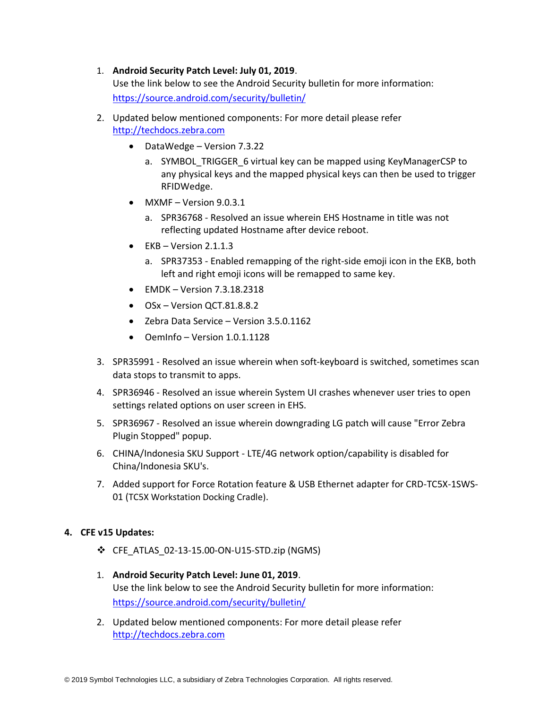#### 1. **Android Security Patch Level: July 01, 2019**.

Use the link below to see the Android Security bulletin for more information: <https://source.android.com/security/bulletin/>

- 2. Updated below mentioned components: For more detail please refer [http://techdocs.zebra.com](http://techdocs.zebra.com/)
	- DataWedge Version 7.3.22
		- a. SYMBOL\_TRIGGER\_6 virtual key can be mapped using KeyManagerCSP to any physical keys and the mapped physical keys can then be used to trigger RFIDWedge.
	- MXMF Version 9.0.3.1
		- a. SPR36768 Resolved an issue wherein EHS Hostname in title was not reflecting updated Hostname after device reboot.
	- $\bullet$  EKB Version 2.1.1.3
		- a. SPR37353 Enabled remapping of the right-side emoji icon in the EKB, both left and right emoji icons will be remapped to same key.
	- $\bullet$  EMDK Version 7.3.18.2318
	- OSx Version QCT.81.8.8.2
	- Zebra Data Service Version 3.5.0.1162
	- OemInfo Version 1.0.1.1128
- 3. SPR35991 Resolved an issue wherein when soft-keyboard is switched, sometimes scan data stops to transmit to apps.
- 4. SPR36946 Resolved an issue wherein System UI crashes whenever user tries to open settings related options on user screen in EHS.
- 5. SPR36967 Resolved an issue wherein downgrading LG patch will cause "Error Zebra Plugin Stopped" popup.
- 6. CHINA/Indonesia SKU Support LTE/4G network option/capability is disabled for China/Indonesia SKU's.
- 7. Added support for Force Rotation feature & USB Ethernet adapter for CRD-TC5X-1SWS-01 (TC5X Workstation Docking Cradle).

#### **4. CFE v15 Updates:**

- ❖ CFE\_ATLAS\_02-13-15.00-ON-U15-STD.zip (NGMS)
- 1. **Android Security Patch Level: June 01, 2019**. Use the link below to see the Android Security bulletin for more information: <https://source.android.com/security/bulletin/>
- 2. Updated below mentioned components: For more detail please refer [http://techdocs.zebra.com](http://techdocs.zebra.com/)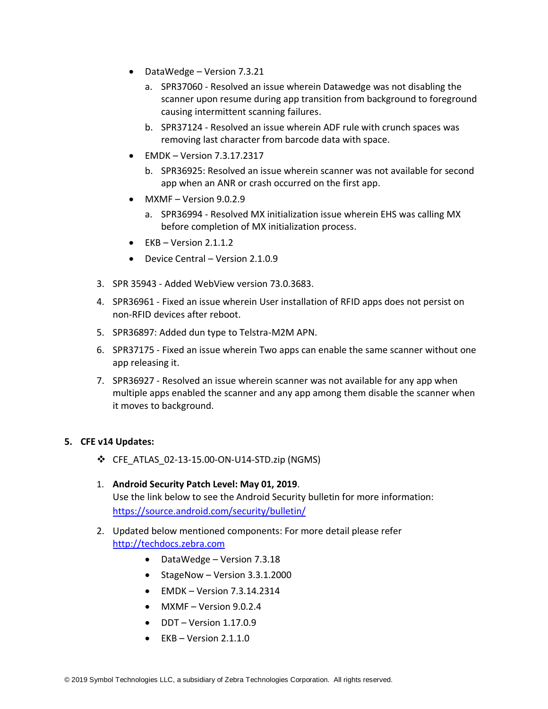- DataWedge Version 7.3.21
	- a. SPR37060 Resolved an issue wherein Datawedge was not disabling the scanner upon resume during app transition from background to foreground causing intermittent scanning failures.
	- b. SPR37124 Resolved an issue wherein ADF rule with crunch spaces was removing last character from barcode data with space.
- EMDK Version 7.3.17.2317
	- b. SPR36925: Resolved an issue wherein scanner was not available for second app when an ANR or crash occurred on the first app.
- MXMF Version 9.0.2.9
	- a. SPR36994 Resolved MX initialization issue wherein EHS was calling MX before completion of MX initialization process.
- $\bullet$  EKB Version 2.1.1.2
- Device Central Version 2.1.0.9
- 3. SPR 35943 Added WebView version 73.0.3683.
- 4. SPR36961 Fixed an issue wherein User installation of RFID apps does not persist on non-RFID devices after reboot.
- 5. SPR36897: Added dun type to Telstra-M2M APN.
- 6. SPR37175 Fixed an issue wherein Two apps can enable the same scanner without one app releasing it.
- 7. SPR36927 Resolved an issue wherein scanner was not available for any app when multiple apps enabled the scanner and any app among them disable the scanner when it moves to background.

#### **5. CFE v14 Updates:**

- ❖ CFE\_ATLAS\_02-13-15.00-ON-U14-STD.zip (NGMS)
- 1. **Android Security Patch Level: May 01, 2019**. Use the link below to see the Android Security bulletin for more information: <https://source.android.com/security/bulletin/>
- 2. Updated below mentioned components: For more detail please refer [http://techdocs.zebra.com](http://techdocs.zebra.com/)
	- DataWedge Version 7.3.18
	- StageNow Version 3.3.1.2000
	- $\bullet$  EMDK Version 7.3.14.2314
	- MXMF Version 9.0.2.4
	- DDT Version 1.17.0.9
	- $\bullet$  EKB Version 2.1.1.0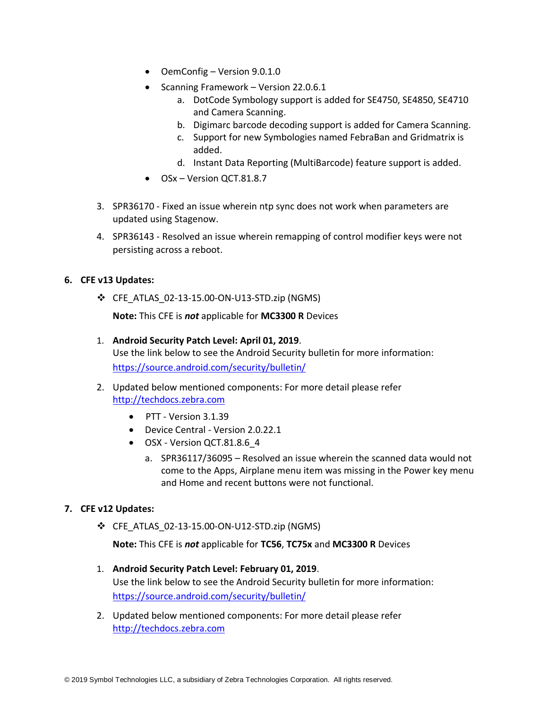- OemConfig Version 9.0.1.0
- Scanning Framework Version 22.0.6.1
	- a. DotCode Symbology support is added for SE4750, SE4850, SE4710 and Camera Scanning.
	- b. Digimarc barcode decoding support is added for Camera Scanning.
	- c. Support for new Symbologies named FebraBan and Gridmatrix is added.
	- d. Instant Data Reporting (MultiBarcode) feature support is added.
- OSx Version QCT.81.8.7
- 3. SPR36170 Fixed an issue wherein ntp sync does not work when parameters are updated using Stagenow.
- 4. SPR36143 Resolved an issue wherein remapping of control modifier keys were not persisting across a reboot.

#### **6. CFE v13 Updates:**

❖ CFE\_ATLAS\_02-13-15.00-ON-U13-STD.zip (NGMS)

**Note:** This CFE is *not* applicable for **MC3300 R** Devices

- 1. **Android Security Patch Level: April 01, 2019**. Use the link below to see the Android Security bulletin for more information: <https://source.android.com/security/bulletin/>
- 2. Updated below mentioned components: For more detail please refer [http://techdocs.zebra.com](http://techdocs.zebra.com/)
	- PTT Version 3.1.39
	- Device Central Version 2.0.22.1
	- OSX Version QCT.81.8.6 4
		- a. SPR36117/36095 Resolved an issue wherein the scanned data would not come to the Apps, Airplane menu item was missing in the Power key menu and Home and recent buttons were not functional.

#### **7. CFE v12 Updates:**

❖ CFE\_ATLAS\_02-13-15.00-ON-U12-STD.zip (NGMS)

**Note:** This CFE is *not* applicable for **TC56**, **TC75x** and **MC3300 R** Devices

- 1. **Android Security Patch Level: February 01, 2019**. Use the link below to see the Android Security bulletin for more information: <https://source.android.com/security/bulletin/>
- 2. Updated below mentioned components: For more detail please refer [http://techdocs.zebra.com](http://techdocs.zebra.com/)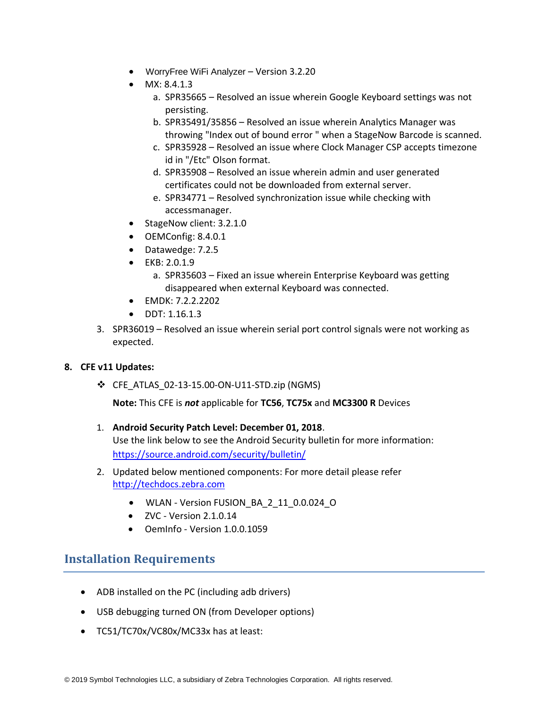- WorryFree WiFi Analyzer Version 3.2.20
- $MX: 8.4.1.3$ 
	- a. SPR35665 Resolved an issue wherein Google Keyboard settings was not persisting.
	- b. SPR35491/35856 Resolved an issue wherein Analytics Manager was throwing "Index out of bound error " when a StageNow Barcode is scanned.
	- c. SPR35928 Resolved an issue where Clock Manager CSP accepts timezone id in "/Etc" Olson format.
	- d. SPR35908 Resolved an issue wherein admin and user generated certificates could not be downloaded from external server.
	- e. SPR34771 Resolved synchronization issue while checking with accessmanager.
- StageNow client: 3.2.1.0
- OEMConfig: 8.4.0.1
- Datawedge: 7.2.5
- EKB: 2.0.1.9
	- a. SPR35603 Fixed an issue wherein Enterprise Keyboard was getting disappeared when external Keyboard was connected.
- EMDK: 7.2.2.2202
- DDT: 1.16.1.3
- 3. SPR36019 Resolved an issue wherein serial port control signals were not working as expected.

#### **8. CFE v11 Updates:**

❖ CFE\_ATLAS\_02-13-15.00-ON-U11-STD.zip (NGMS)

**Note:** This CFE is *not* applicable for **TC56**, **TC75x** and **MC3300 R** Devices

- 1. **Android Security Patch Level: December 01, 2018**. Use the link below to see the Android Security bulletin for more information: <https://source.android.com/security/bulletin/>
- 2. Updated below mentioned components: For more detail please refer [http://techdocs.zebra.com](http://techdocs.zebra.com/)
	- WLAN Version FUSION\_BA\_2\_11\_0.0.024\_O
	- $\bullet$  ZVC Version 2.1.0.14
	- OemInfo Version 1.0.0.1059

### <span id="page-7-0"></span>**Installation Requirements**

- ADB installed on the PC (including adb drivers)
- USB debugging turned ON (from Developer options)
- TC51/TC70x/VC80x/MC33x has at least: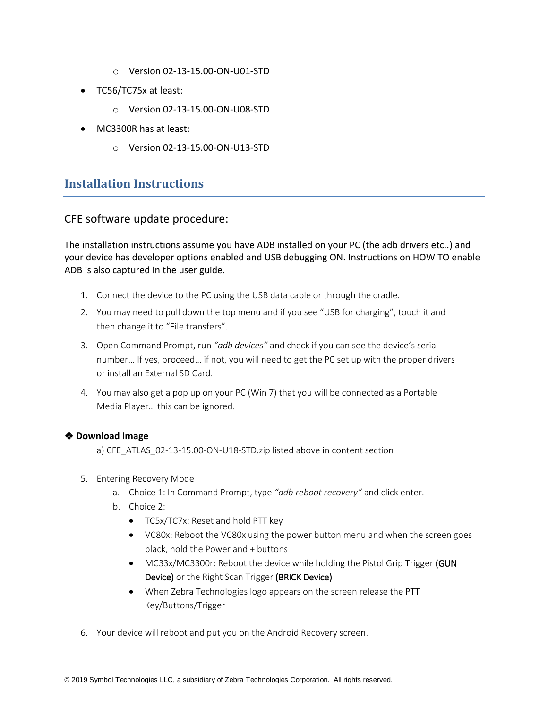- o Version 02-13-15.00-ON-U01-STD
- TC56/TC75x at least:
	- o Version 02-13-15.00-ON-U08-STD
- MC3300R has at least:
	- o Version 02-13-15.00-ON-U13-STD

# <span id="page-8-0"></span>**Installation Instructions**

#### CFE software update procedure:

The installation instructions assume you have ADB installed on your PC (the adb drivers etc..) and your device has developer options enabled and USB debugging ON. Instructions on HOW TO enable ADB is also captured in the user guide.

- 1. Connect the device to the PC using the USB data cable or through the cradle.
- 2. You may need to pull down the top menu and if you see "USB for charging", touch it and then change it to "File transfers".
- 3. Open Command Prompt, run *"adb devices"* and check if you can see the device's serial number… If yes, proceed… if not, you will need to get the PC set up with the proper drivers or install an External SD Card.
- 4. You may also get a pop up on your PC (Win 7) that you will be connected as a Portable Media Player… this can be ignored.

#### ❖ **Download Image**

a) CFE\_ATLAS\_02-13-15.00-ON-U18-STD.zip listed above in content section

- 5. Entering Recovery Mode
	- a. Choice 1: In Command Prompt, type *"adb reboot recovery"* and click enter.
	- b. Choice 2:
		- TC5x/TC7x: Reset and hold PTT key
		- VC80x: Reboot the VC80x using the power button menu and when the screen goes black, hold the Power and + buttons
		- MC33x/MC3300r: Reboot the device while holding the Pistol Grip Trigger (GUN Device) or the Right Scan Trigger (BRICK Device)
		- When Zebra Technologies logo appears on the screen release the PTT Key/Buttons/Trigger
- 6. Your device will reboot and put you on the Android Recovery screen.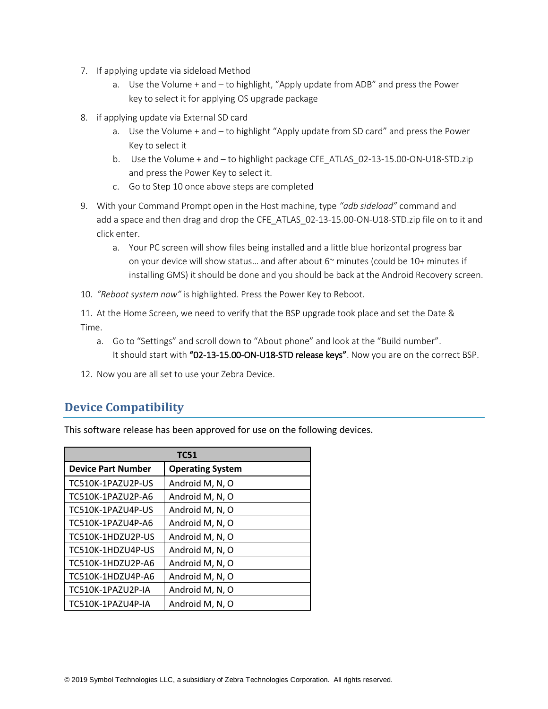- 7. If applying update via sideload Method
	- a. Use the Volume + and to highlight, "Apply update from ADB" and press the Power key to select it for applying OS upgrade package
- 8. if applying update via External SD card
	- a. Use the Volume + and to highlight "Apply update from SD card" and press the Power Key to select it
	- b. Use the Volume + and to highlight package CFE\_ATLAS\_02-13-15.00-ON-U18-STD.zip and press the Power Key to select it.
	- c. Go to Step 10 once above steps are completed
- 9. With your Command Prompt open in the Host machine, type *"adb sideload"* command and add a space and then drag and drop the CFE\_ATLAS\_02-13-15.00-ON-U18-STD.zip file on to it and click enter.
	- a. Your PC screen will show files being installed and a little blue horizontal progress bar on your device will show status... and after about  $6<sup>o</sup>$  minutes (could be 10+ minutes if installing GMS) it should be done and you should be back at the Android Recovery screen.
- 10. *"Reboot system now"* is highlighted. Press the Power Key to Reboot.

11. At the Home Screen, we need to verify that the BSP upgrade took place and set the Date & Time.

- <span id="page-9-1"></span>a. Go to "Settings" and scroll down to "About phone" and look at the "Build number". It should start with "02-13-15.00-ON-U18-STD release keys". Now you are on the correct BSP.
- 12. Now you are all set to use your Zebra Device.

# <span id="page-9-0"></span>**Device Compatibility**

This software release has been approved for use on the following devices.

| <b>TC51</b>               |                         |
|---------------------------|-------------------------|
| <b>Device Part Number</b> | <b>Operating System</b> |
| TC510K-1PAZU2P-US         | Android M, N, O         |
| TC510K-1PAZU2P-A6         | Android M, N, O         |
| TC510K-1PAZU4P-US         | Android M, N, O         |
| TC510K-1PAZU4P-A6         | Android M, N, O         |
| TC510K-1HDZU2P-US         | Android M, N, O         |
| TC510K-1HDZU4P-US         | Android M, N, O         |
| TC510K-1HDZU2P-A6         | Android M, N, O         |
| TC510K-1HDZU4P-A6         | Android M, N, O         |
| TC510K-1PAZU2P-IA         | Android M, N, O         |
| TC510K-1PAZU4P-IA         | Android M, N, O         |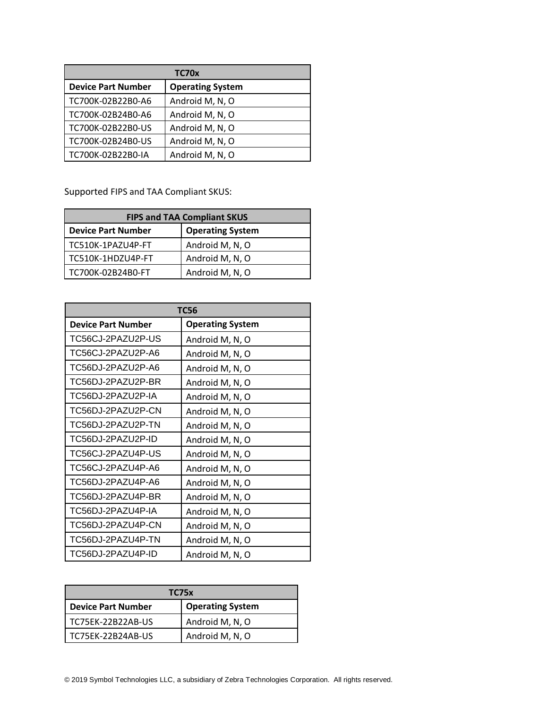| TC70x                     |                         |
|---------------------------|-------------------------|
| <b>Device Part Number</b> | <b>Operating System</b> |
| TC700K-02B22B0-A6         | Android M, N, O         |
| TC700K-02B24B0-A6         | Android M, N, O         |
| TC700K-02B22B0-US         | Android M, N, O         |
| TC700K-02B24B0-US         | Android M, N, O         |
| TC700K-02B22B0-IA         | Android M, N, O         |

Supported FIPS and TAA Compliant SKUS:

| <b>FIPS and TAA Compliant SKUS</b> |                         |
|------------------------------------|-------------------------|
| <b>Device Part Number</b>          | <b>Operating System</b> |
| TC510K-1PAZU4P-FT                  | Android M, N, O         |
| TC510K-1HDZU4P-FT                  | Android M, N, O         |
| TC700K-02B24B0-FT                  | Android M, N, O         |

| <b>TC56</b>               |                         |
|---------------------------|-------------------------|
| <b>Device Part Number</b> | <b>Operating System</b> |
| TC56CJ-2PAZU2P-US         | Android M, N, O         |
| TC56CJ-2PAZU2P-A6         | Android M, N, O         |
| TC56DJ-2PAZU2P-A6         | Android M, N, O         |
| TC56DJ-2PAZU2P-BR         | Android M, N, O         |
| TC56DJ-2PAZU2P-IA         | Android M, N, O         |
| TC56DJ-2PAZU2P-CN         | Android M, N, O         |
| TC56DJ-2PAZU2P-TN         | Android M, N, O         |
| TC56DJ-2PAZU2P-ID         | Android M, N, O         |
| TC56CJ-2PAZU4P-US         | Android M, N, O         |
| TC56CJ-2PAZU4P-A6         | Android M, N, O         |
| TC56DJ-2PAZU4P-A6         | Android M, N, O         |
| TC56DJ-2PAZU4P-BR         | Android M, N, O         |
| TC56DJ-2PAZU4P-IA         | Android M, N, O         |
| TC56DJ-2PAZU4P-CN         | Android M, N, O         |
| TC56DJ-2PAZU4P-TN         | Android M, N, O         |
| TC56DJ-2PAZU4P-ID         | Android M, N, O         |

| <b>TC75x</b>              |                         |
|---------------------------|-------------------------|
| <b>Device Part Number</b> | <b>Operating System</b> |
| TC75EK-22B22AB-US         | Android M, N, O         |
| TC75EK-22B24AB-US         | Android M, N, O         |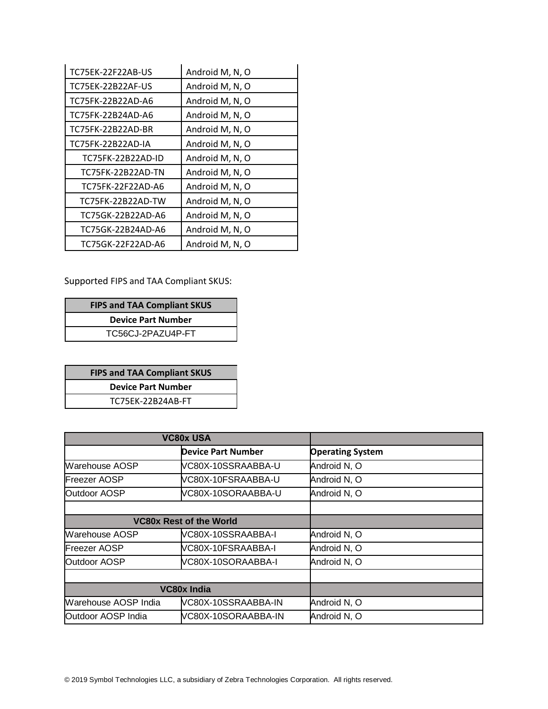| TC75EK-22F22AB-US | Android M, N, O |
|-------------------|-----------------|
| TC75EK-22B22AF-US | Android M, N, O |
| TC75FK-22B22AD-A6 | Android M, N, O |
| TC75FK-22B24AD-A6 | Android M, N, O |
| TC75FK-22B22AD-BR | Android M, N, O |
| TC75FK-22B22AD-IA | Android M, N, O |
| TC75FK-22B22AD-ID | Android M, N, O |
| TC75FK-22B22AD-TN | Android M, N, O |
| TC75FK-22F22AD-A6 | Android M, N, O |
| TC75FK-22B22AD-TW | Android M, N, O |
| TC75GK-22B22AD-A6 | Android M, N, O |
| TC75GK-22B24AD-A6 | Android M, N, O |
| TC75GK-22F22AD-A6 | Android M, N, O |

Supported FIPS and TAA Compliant SKUS:

| <b>FIPS and TAA Compliant SKUS</b> |  |
|------------------------------------|--|
| <b>Device Part Number</b>          |  |
| TC56CJ-2PAZU4P-FT                  |  |

| <b>FIPS and TAA Compliant SKUS</b> |  |
|------------------------------------|--|
| <b>Device Part Number</b>          |  |
| TC75EK-22B24AB-FT                  |  |

| <b>VC80x USA</b>      |                                |                         |
|-----------------------|--------------------------------|-------------------------|
|                       | <b>Device Part Number</b>      | <b>Operating System</b> |
| <b>Warehouse AOSP</b> | VC80X-10SSRAABBA-U             | Android N, O            |
| <b>Freezer AOSP</b>   | VC80X-10FSRAABBA-U             | Android N, O            |
| Outdoor AOSP          | VC80X-10SORAABBA-U             | Android N, O            |
|                       |                                |                         |
|                       | <b>VC80x Rest of the World</b> |                         |
| Warehouse AOSP        | VC80X-10SSRAABBA-I             | Android N, O            |
| <b>Freezer AOSP</b>   | VC80X-10FSRAABBA-I             | Android N, O            |
| Outdoor AOSP          | VC80X-10SORAABBA-I             | Android N, O            |
|                       |                                |                         |
| <b>VC80x India</b>    |                                |                         |
| Warehouse AOSP India  | VC80X-10SSRAABBA-IN            | Android N, O            |
| Outdoor AOSP India    | VC80X-10SORAABBA-IN            | Android N, O            |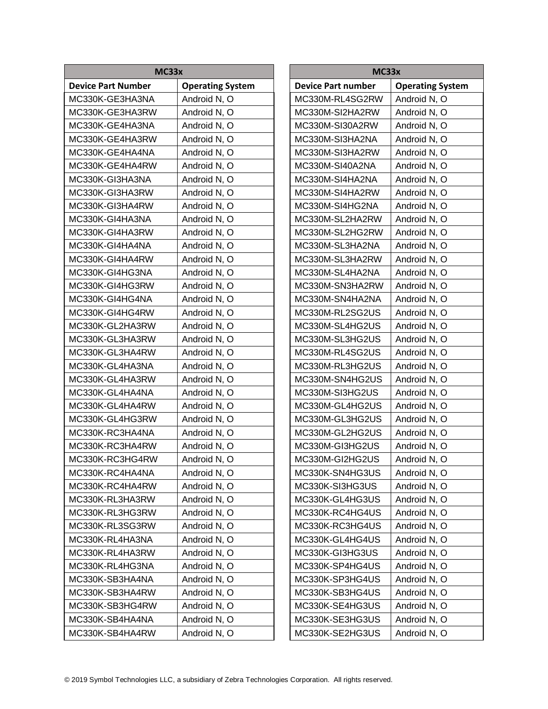| MC33x                     |                         | MC33x                     |   |
|---------------------------|-------------------------|---------------------------|---|
| <b>Device Part Number</b> | <b>Operating System</b> | <b>Device Part number</b> | C |
| MC330K-GE3HA3NA           | Android N, O            | MC330M-RL4SG2RW           | A |
| MC330K-GE3HA3RW           | Android N, O            | MC330M-SI2HA2RW           | A |
| MC330K-GE4HA3NA           | Android N, O            | MC330M-SI30A2RW           | A |
| MC330K-GE4HA3RW           | Android N, O            | MC330M-SI3HA2NA           | A |
| MC330K-GE4HA4NA           | Android N, O            | MC330M-SI3HA2RW           | A |
| MC330K-GE4HA4RW           | Android N, O            | MC330M-SI40A2NA           | A |
| MC330K-GI3HA3NA           | Android N, O            | MC330M-SI4HA2NA           | A |
| MC330K-GI3HA3RW           | Android N, O            | MC330M-SI4HA2RW           | A |
| MC330K-GI3HA4RW           | Android N, O            | MC330M-SI4HG2NA           | A |
| MC330K-GI4HA3NA           | Android N, O            | MC330M-SL2HA2RW           | A |
| MC330K-GI4HA3RW           | Android N, O            | MC330M-SL2HG2RW           | A |
| MC330K-GI4HA4NA           | Android N, O            | MC330M-SL3HA2NA           | A |
| MC330K-GI4HA4RW           | Android N, O            | MC330M-SL3HA2RW           | A |
| MC330K-GI4HG3NA           | Android N, O            | MC330M-SL4HA2NA           | A |
| MC330K-GI4HG3RW           | Android N, O            | MC330M-SN3HA2RW           | A |
| MC330K-GI4HG4NA           | Android N, O            | MC330M-SN4HA2NA           | A |
| MC330K-GI4HG4RW           | Android N, O            | MC330M-RL2SG2US           | A |
| MC330K-GL2HA3RW           | Android N, O            | MC330M-SL4HG2US           | A |
| MC330K-GL3HA3RW           | Android N, O            | MC330M-SL3HG2US           | A |
| MC330K-GL3HA4RW           | Android N, O            | MC330M-RL4SG2US           | A |
| MC330K-GL4HA3NA           | Android N, O            | MC330M-RL3HG2US           | A |
| MC330K-GL4HA3RW           | Android N, O            | MC330M-SN4HG2US           | A |
| MC330K-GL4HA4NA           | Android N, O            | MC330M-SI3HG2US           | A |
| MC330K-GL4HA4RW           | Android N, O            | MC330M-GL4HG2US           | A |
| MC330K-GL4HG3RW           | Android N, O            | MC330M-GL3HG2US           | A |
| MC330K-RC3HA4NA           | Android N, O            | MC330M-GL2HG2US           | A |
| MC330K-RC3HA4RW           | Android N, O            | MC330M-GI3HG2US           | A |
| MC330K-RC3HG4RW           | Android N, O            | MC330M-GI2HG2US           | A |
| MC330K-RC4HA4NA           | Android N, O            | MC330K-SN4HG3US           | A |
| MC330K-RC4HA4RW           | Android N, O            | MC330K-SI3HG3US           | A |
| MC330K-RL3HA3RW           | Android N, O            | MC330K-GL4HG3US           | A |
| MC330K-RL3HG3RW           | Android N, O            | MC330K-RC4HG4US           | A |
| MC330K-RL3SG3RW           | Android N, O            | MC330K-RC3HG4US           | A |
| MC330K-RL4HA3NA           | Android N, O            | MC330K-GL4HG4US           | A |
| MC330K-RL4HA3RW           | Android N, O            | MC330K-GI3HG3US           | A |
| MC330K-RL4HG3NA           | Android N, O            | MC330K-SP4HG4US           | A |
| MC330K-SB3HA4NA           | Android N, O            | MC330K-SP3HG4US           | A |
| MC330K-SB3HA4RW           | Android N, O            | MC330K-SB3HG4US           | A |
| MC330K-SB3HG4RW           | Android N, O            | MC330K-SE4HG3US           | A |
| MC330K-SB4HA4NA           | Android N, O            | MC330K-SE3HG3US           | A |
| MC330K-SB4HA4RW           | Android N, O            | MC330K-SE2HG3US           | A |

**Operating System** Android N, O Android N, O Android N, O Android N, O Android N, O Android N, O Android N, O Android N, O Android N, O Android N, O Android N, O Android N, O Android N, O Android N, O Android N, O Android N, O Android N, O Android N, O Android N, O Android N, O Android N, O Android N, O Android N, O Android N, O Android N, O Android N, O Android N, O Android N, O Android N, O Android N, O Android N, O Android N, O Android N, O Android N, O Android N, O Android N, O Android N, O Android N, O Android N, O Android N, O Android N, O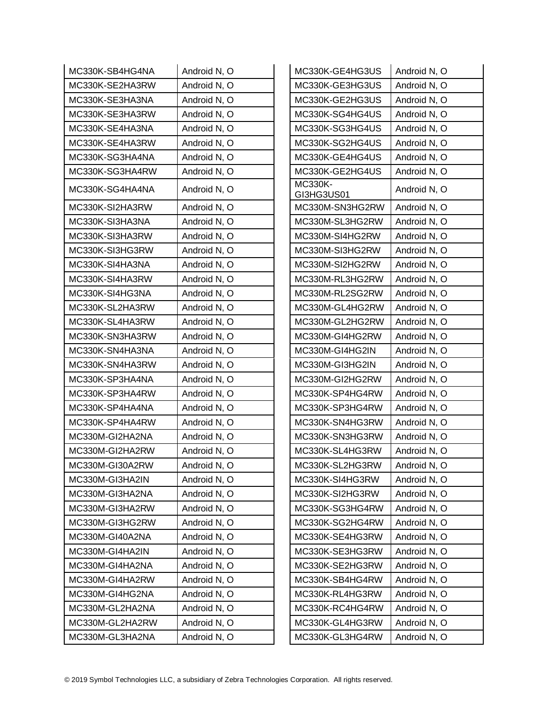| MC330K-SB4HG4NA | Android N, O | MC330K-GE4HG3US              | Android N, O |
|-----------------|--------------|------------------------------|--------------|
| MC330K-SE2HA3RW | Android N, O | MC330K-GE3HG3US              | Android N, O |
| MC330K-SE3HA3NA | Android N, O | MC330K-GE2HG3US              | Android N, O |
| MC330K-SE3HA3RW | Android N, O | MC330K-SG4HG4US              | Android N, O |
| MC330K-SE4HA3NA | Android N, O | MC330K-SG3HG4US              | Android N, O |
| MC330K-SE4HA3RW | Android N, O | MC330K-SG2HG4US              | Android N, O |
| MC330K-SG3HA4NA | Android N, O | MC330K-GE4HG4US              | Android N, O |
| MC330K-SG3HA4RW | Android N, O | MC330K-GE2HG4US              | Android N, O |
| MC330K-SG4HA4NA | Android N, O | <b>MC330K-</b><br>GI3HG3US01 | Android N, O |
| MC330K-SI2HA3RW | Android N, O | MC330M-SN3HG2RW              | Android N, O |
| MC330K-SI3HA3NA | Android N, O | MC330M-SL3HG2RW              | Android N, O |
| MC330K-SI3HA3RW | Android N, O | MC330M-SI4HG2RW              | Android N, O |
| MC330K-SI3HG3RW | Android N, O | MC330M-SI3HG2RW              | Android N, O |
| MC330K-SI4HA3NA | Android N, O | MC330M-SI2HG2RW              | Android N, O |
| MC330K-SI4HA3RW | Android N, O | MC330M-RL3HG2RW              | Android N, O |
| MC330K-SI4HG3NA | Android N, O | MC330M-RL2SG2RW              | Android N, O |
| MC330K-SL2HA3RW | Android N, O | MC330M-GL4HG2RW              | Android N, O |
| MC330K-SL4HA3RW | Android N, O | MC330M-GL2HG2RW              | Android N, O |
| MC330K-SN3HA3RW | Android N, O | MC330M-GI4HG2RW              | Android N, O |
| MC330K-SN4HA3NA | Android N, O | MC330M-GI4HG2IN              | Android N, O |
| MC330K-SN4HA3RW | Android N, O | MC330M-GI3HG2IN              | Android N, O |
| MC330K-SP3HA4NA | Android N, O | MC330M-GI2HG2RW              | Android N, O |
| MC330K-SP3HA4RW | Android N, O | MC330K-SP4HG4RW              | Android N, O |
| MC330K-SP4HA4NA | Android N, O | MC330K-SP3HG4RW              | Android N, O |
| MC330K-SP4HA4RW | Android N, O | MC330K-SN4HG3RW              | Android N, O |
| MC330M-GI2HA2NA | Android N, O | MC330K-SN3HG3RW              | Android N, O |
| MC330M-GI2HA2RW | Android N, O | MC330K-SL4HG3RW              | Android N, O |
| MC330M-GI30A2RW | Android N, O | MC330K-SL2HG3RW              | Android N, O |
| MC330M-GI3HA2IN | Android N, O | MC330K-SI4HG3RW              | Android N, O |
| MC330M-GI3HA2NA | Android N, O | MC330K-SI2HG3RW              | Android N, O |
| MC330M-GI3HA2RW | Android N, O | MC330K-SG3HG4RW              | Android N, O |
| MC330M-GI3HG2RW | Android N, O | MC330K-SG2HG4RW              | Android N, O |
| MC330M-GI40A2NA | Android N, O | MC330K-SE4HG3RW              | Android N, O |
| MC330M-GI4HA2IN | Android N, O | MC330K-SE3HG3RW              | Android N, O |
| MC330M-GI4HA2NA | Android N, O | MC330K-SE2HG3RW              | Android N, O |
| MC330M-GI4HA2RW | Android N, O | MC330K-SB4HG4RW              | Android N, O |
| MC330M-GI4HG2NA | Android N, O | MC330K-RL4HG3RW              | Android N, O |
| MC330M-GL2HA2NA | Android N, O | MC330K-RC4HG4RW              | Android N, O |
| MC330M-GL2HA2RW | Android N, O | MC330K-GL4HG3RW              | Android N, O |
| MC330M-GL3HA2NA | Android N, O | MC330K-GL3HG4RW              | Android N, O |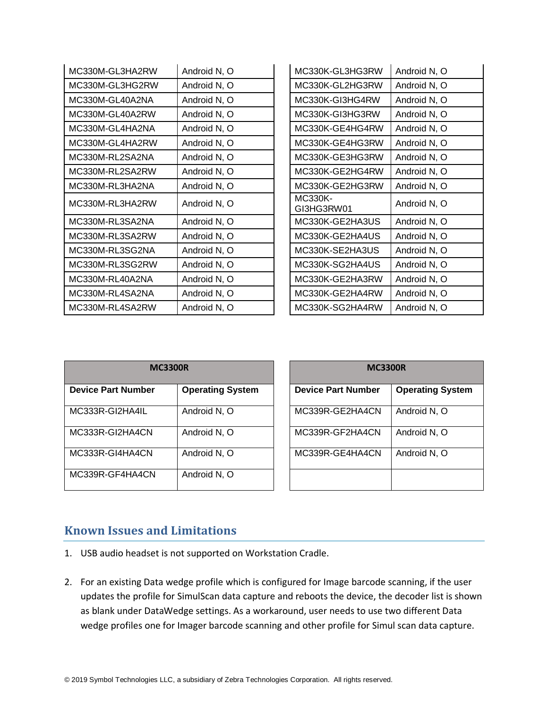| MC330M-GL3HA2RW | Android N, O | MC330K-GL3HG3RW       | Android N, O |
|-----------------|--------------|-----------------------|--------------|
| MC330M-GL3HG2RW | Android N, O | MC330K-GL2HG3RW       | Android N, O |
| MC330M-GL40A2NA | Android N, O | MC330K-GI3HG4RW       | Android N, O |
| MC330M-GL40A2RW | Android N, O | MC330K-GI3HG3RW       | Android N, O |
| MC330M-GL4HA2NA | Android N, O | MC330K-GE4HG4RW       | Android N, O |
| MC330M-GL4HA2RW | Android N, O | MC330K-GE4HG3RW       | Android N, O |
| MC330M-RL2SA2NA | Android N, O | MC330K-GE3HG3RW       | Android N, O |
| MC330M-RL2SA2RW | Android N, O | MC330K-GE2HG4RW       | Android N, O |
| MC330M-RL3HA2NA | Android N, O | MC330K-GE2HG3RW       | Android N, O |
| MC330M-RL3HA2RW | Android N, O | MC330K-<br>GI3HG3RW01 | Android N, O |
| MC330M-RL3SA2NA | Android N, O | MC330K-GE2HA3US       | Android N, O |
| MC330M-RL3SA2RW | Android N, O | MC330K-GE2HA4US       | Android N, O |
| MC330M-RL3SG2NA | Android N, O | MC330K-SE2HA3US       | Android N, O |
| MC330M-RL3SG2RW | Android N, O | MC330K-SG2HA4US       | Android N, O |
| MC330M-RL40A2NA | Android N, O | MC330K-GE2HA3RW       | Android N, O |
| MC330M-RL4SA2NA | Android N, O | MC330K-GE2HA4RW       | Android N, O |
| MC330M-RL4SA2RW | Android N, O | MC330K-SG2HA4RW       | Android N, O |

| <b>MC3300R</b>            |                         | <b>MC3300R</b>            |                         |  |
|---------------------------|-------------------------|---------------------------|-------------------------|--|
| <b>Device Part Number</b> | <b>Operating System</b> | <b>Device Part Number</b> | <b>Operating System</b> |  |
| MC333R-GI2HA4IL           | Android N, O            | MC339R-GE2HA4CN           | Android N, O            |  |
| MC333R-GI2HA4CN           | Android N, O            | MC339R-GF2HA4CN           | Android N, O            |  |
| MC333R-GI4HA4CN           | Android N, O            | MC339R-GE4HA4CN           | Android N, O            |  |
| MC339R-GF4HA4CN           | Android N, O            |                           |                         |  |

| <b>MC3300R</b>            |                         |  |  |
|---------------------------|-------------------------|--|--|
| <b>Device Part Number</b> | <b>Operating System</b> |  |  |
| MC339R-GE2HA4CN           | Android N, O            |  |  |
| MC339R-GF2HA4CN           | Android N, O            |  |  |
| MC339R-GE4HA4CN           | Android N, O            |  |  |
|                           |                         |  |  |

# **Known Issues and Limitations**

- 1. USB audio headset is not supported on Workstation Cradle.
- 2. For an existing Data wedge profile which is configured for Image barcode scanning, if the user updates the profile for SimulScan data capture and reboots the device, the decoder list is shown as blank under DataWedge settings. As a workaround, user needs to use two different Data wedge profiles one for Imager barcode scanning and other profile for Simul scan data capture.